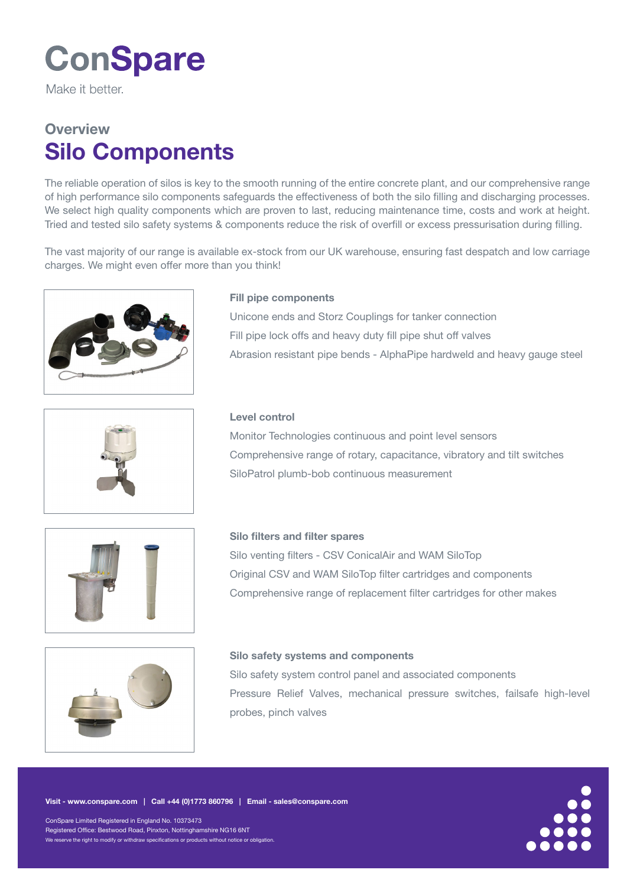# **ConSpare**

Make it hetter

## **Overview** Silo Components

The reliable operation of silos is key to the smooth running of the entire concrete plant, and our comprehensive range of high performance silo components safeguards the effectiveness of both the silo filling and discharging processes. We select high quality components which are proven to last, reducing maintenance time, costs and work at height. Tried and tested silo safety systems & components reduce the risk of overfill or excess pressurisation during filling.

The vast majority of our range is available ex-stock from our UK warehouse, ensuring fast despatch and low carriage charges. We might even offer more than you think!



### Fill pipe components

Unicone ends and Storz Couplings for tanker connection Fill pipe lock offs and heavy duty fill pipe shut off valves Abrasion resistant pipe bends - AlphaPipe hardweld and heavy gauge steel



#### Level control

Monitor Technologies continuous and point level sensors Comprehensive range of rotary, capacitance, vibratory and tilt switches SiloPatrol plumb-bob continuous measurement





Silo venting filters - CSV ConicalAir and WAM SiloTop Original CSV and WAM SiloTop filter cartridges and components Comprehensive range of replacement filter cartridges for other makes



#### Silo safety systems and components

Silo safety system control panel and associated components Pressure Relief Valves, mechanical pressure switches, failsafe high-level probes, pinch valves

ConSpare Limited Registered in England No. 10373473 Registered Office: Bestwood Road, Pinxton, Nottinghamshire NG16 6NT We reserve the right to modify or withdraw specifications or products without notice or obligation.